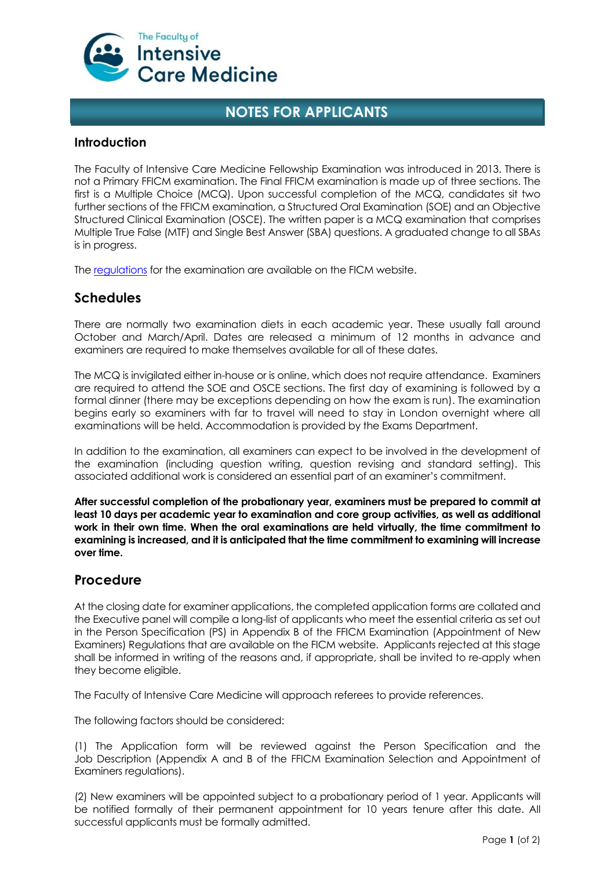

# **NOTES FOR APPLICANTS**

#### **Introduction**

The Faculty of Intensive Care Medicine Fellowship Examination was introduced in 2013. There is not a Primary FFICM examination. The Final FFICM examination is made up of three sections. The first is a Multiple Choice (MCQ). Upon successful completion of the MCQ, candidates sit two further sections of the FFICM examination, a Structured Oral Examination (SOE) and an Objective Structured Clinical Examination (OSCE). The written paper is a MCQ examination that comprises Multiple True False (MTF) and Single Best Answer (SBA) questions. A graduated change to all SBAs is in progress.

The [regulations](https://ficm.ac.uk/sites/ficm/files/documents/2021-11/FFICM%20Examination%20Regulations%20September%202021.pdf) for the examination are available on the FICM website.

### **Schedules**

There are normally two examination diets in each academic year. These usually fall around October and March/April. Dates are released a minimum of 12 months in advance and examiners are required to make themselves available for all of these dates.

The MCQ is invigilated either in-house or is online, which does not require attendance. Examiners are required to attend the SOE and OSCE sections. The first day of examining is followed by a formal dinner (there may be exceptions depending on how the exam is run). The examination begins early so examiners with far to travel will need to stay in London overnight where all examinations will be held. Accommodation is provided by the Exams Department.

In addition to the examination, all examiners can expect to be involved in the development of the examination (including question writing, question revising and standard setting). This associated additional work is considered an essential part of an examiner's commitment.

**After successful completion of the probationary year, examiners must be prepared to commit at least 10 days per academic year to examination and core group activities, as well as additional work in their own time. When the oral examinations are held virtually, the time commitment to examining is increased, and it is anticipated that the time commitment to examining will increase over time.**

#### **Procedure**

At the closing date for examiner applications, the completed application forms are collated and the Executive panel will compile a long-list of applicants who meet the essential criteria as set out in the Person Specification (PS) in Appendix B of the FFICM Examination (Appointment of New Examiners) Regulations that are available on the FICM website. Applicants rejected at this stage shall be informed in writing of the reasons and, if appropriate, shall be invited to re-apply when they become eligible.

The Faculty of Intensive Care Medicine will approach referees to provide references.

The following factors should be considered:

(1) The Application form will be reviewed against the Person Specification and the Job Description (Appendix A and B of the FFICM Examination Selection and Appointment of Examiners regulations).

(2) New examiners will be appointed subject to a probationary period of 1 year. Applicants will be notified formally of their permanent appointment for 10 years tenure after this date. All successful applicants must be formally admitted.